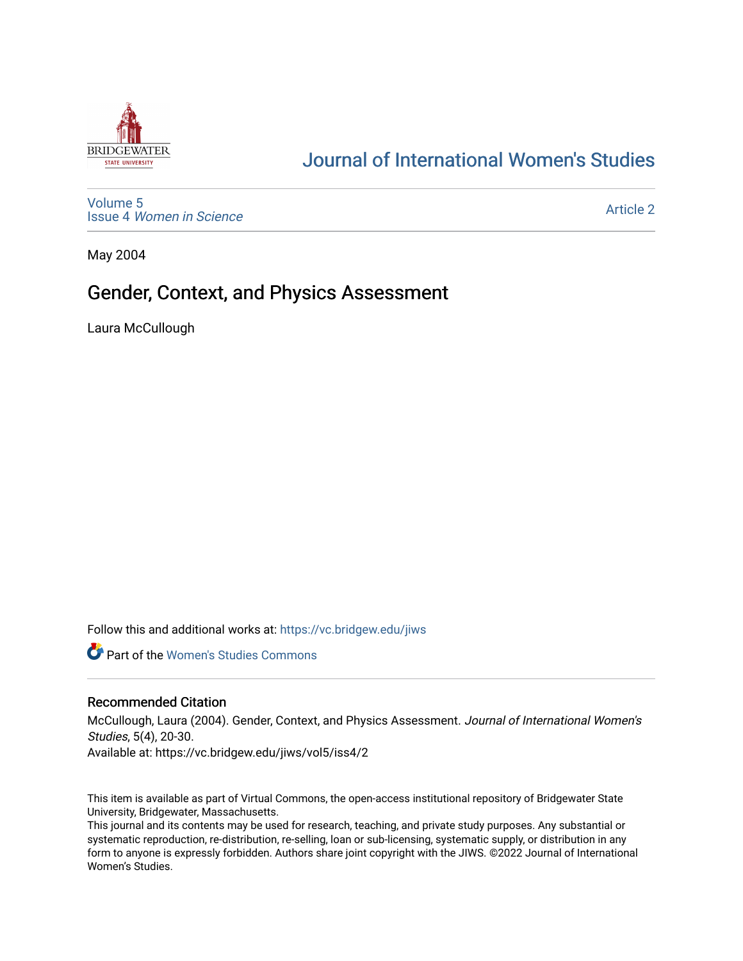

# [Journal of International Women's Studies](https://vc.bridgew.edu/jiws)

[Volume 5](https://vc.bridgew.edu/jiws/vol5) Issue 4 [Women in Science](https://vc.bridgew.edu/jiws/vol5/iss4) 

[Article 2](https://vc.bridgew.edu/jiws/vol5/iss4/2) 

May 2004

## Gender, Context, and Physics Assessment

Laura McCullough

Follow this and additional works at: [https://vc.bridgew.edu/jiws](https://vc.bridgew.edu/jiws?utm_source=vc.bridgew.edu%2Fjiws%2Fvol5%2Fiss4%2F2&utm_medium=PDF&utm_campaign=PDFCoverPages)

**C** Part of the Women's Studies Commons

#### Recommended Citation

McCullough, Laura (2004). Gender, Context, and Physics Assessment. Journal of International Women's Studies, 5(4), 20-30.

Available at: https://vc.bridgew.edu/jiws/vol5/iss4/2

This item is available as part of Virtual Commons, the open-access institutional repository of Bridgewater State University, Bridgewater, Massachusetts.

This journal and its contents may be used for research, teaching, and private study purposes. Any substantial or systematic reproduction, re-distribution, re-selling, loan or sub-licensing, systematic supply, or distribution in any form to anyone is expressly forbidden. Authors share joint copyright with the JIWS. ©2022 Journal of International Women's Studies.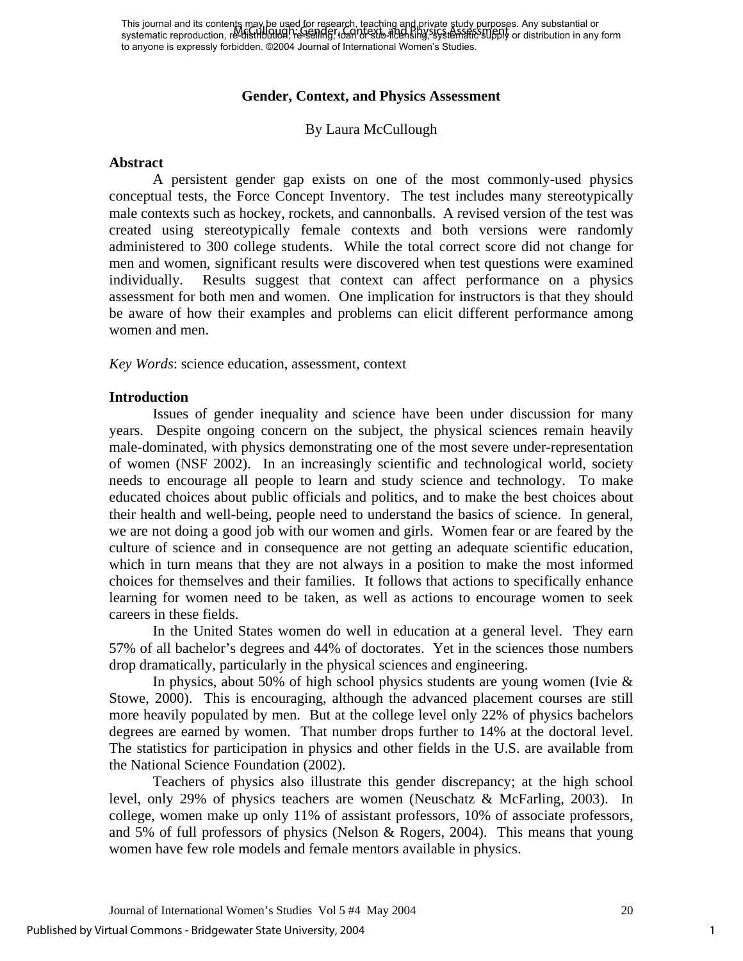## **Gender, Context, and Physics Assessment**

## By Laura McCullough

#### **Abstract**

A persistent gender gap exists on one of the most commonly-used physics conceptual tests, the Force Concept Inventory. The test includes many stereotypically male contexts such as hockey, rockets, and cannonballs. A revised version of the test was created using stereotypically female contexts and both versions were randomly administered to 300 college students. While the total correct score did not change for men and women, significant results were discovered when test questions were examined individually. Results suggest that context can affect performance on a physics assessment for both men and women. One implication for instructors is that they should be aware of how their examples and problems can elicit different performance among women and men.

*Key Words*: science education, assessment, context

#### **Introduction**

Issues of gender inequality and science have been under discussion for many years. Despite ongoing concern on the subject, the physical sciences remain heavily male-dominated, with physics demonstrating one of the most severe under-representation of women (NSF 2002). In an increasingly scientific and technological world, society needs to encourage all people to learn and study science and technology. To make educated choices about public officials and politics, and to make the best choices about their health and well-being, people need to understand the basics of science. In general, we are not doing a good job with our women and girls. Women fear or are feared by the culture of science and in consequence are not getting an adequate scientific education, which in turn means that they are not always in a position to make the most informed choices for themselves and their families. It follows that actions to specifically enhance learning for women need to be taken, as well as actions to encourage women to seek careers in these fields.

In the United States women do well in education at a general level. They earn 57% of all bachelor's degrees and 44% of doctorates. Yet in the sciences those numbers drop dramatically, particularly in the physical sciences and engineering.

In physics, about 50% of high school physics students are young women (Ivie  $\&$ Stowe, 2000). This is encouraging, although the advanced placement courses are still more heavily populated by men. But at the college level only 22% of physics bachelors degrees are earned by women. That number drops further to 14% at the doctoral level. The statistics for participation in physics and other fields in the U.S. are available from the National Science Foundation (2002).

Teachers of physics also illustrate this gender discrepancy; at the high school level, only 29% of physics teachers are women (Neuschatz & McFarling, 2003). In college, women make up only 11% of assistant professors, 10% of associate professors, and 5% of full professors of physics (Nelson & Rogers, 2004). This means that young women have few role models and female mentors available in physics.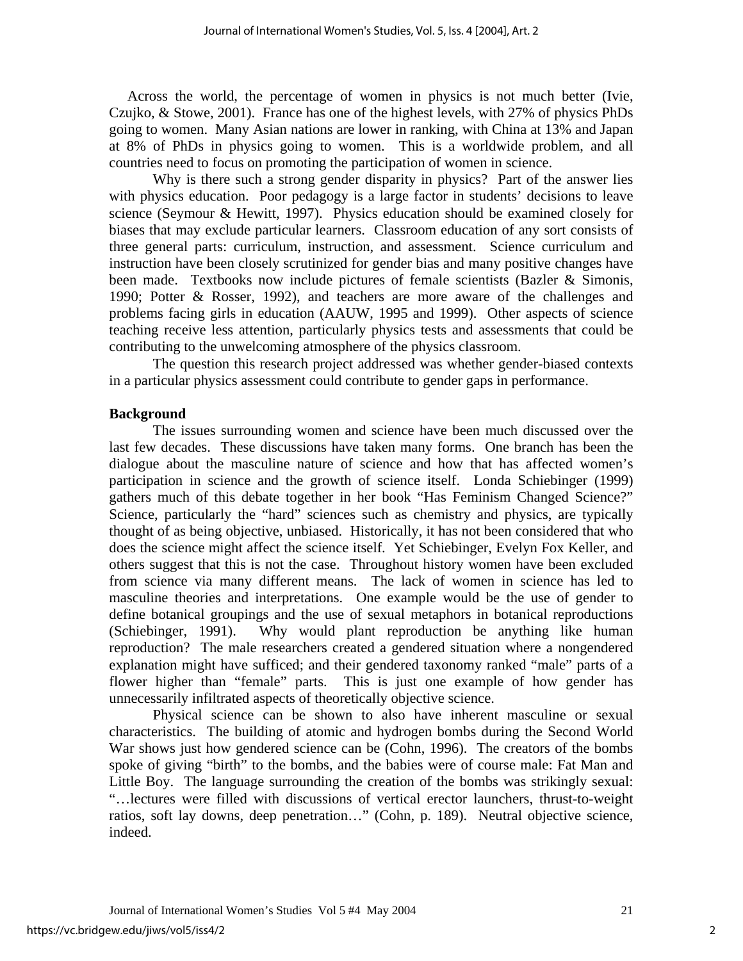Across the world, the percentage of women in physics is not much better (Ivie, Czujko, & Stowe, 2001). France has one of the highest levels, with 27% of physics PhDs going to women. Many Asian nations are lower in ranking, with China at 13% and Japan at 8% of PhDs in physics going to women. This is a worldwide problem, and all countries need to focus on promoting the participation of women in science.

Why is there such a strong gender disparity in physics? Part of the answer lies with physics education. Poor pedagogy is a large factor in students' decisions to leave science (Seymour & Hewitt, 1997). Physics education should be examined closely for biases that may exclude particular learners. Classroom education of any sort consists of three general parts: curriculum, instruction, and assessment. Science curriculum and instruction have been closely scrutinized for gender bias and many positive changes have been made. Textbooks now include pictures of female scientists (Bazler & Simonis, 1990; Potter & Rosser, 1992), and teachers are more aware of the challenges and problems facing girls in education (AAUW, 1995 and 1999). Other aspects of science teaching receive less attention, particularly physics tests and assessments that could be contributing to the unwelcoming atmosphere of the physics classroom.

The question this research project addressed was whether gender-biased contexts in a particular physics assessment could contribute to gender gaps in performance.

#### **Background**

The issues surrounding women and science have been much discussed over the last few decades. These discussions have taken many forms. One branch has been the dialogue about the masculine nature of science and how that has affected women's participation in science and the growth of science itself. Londa Schiebinger (1999) gathers much of this debate together in her book "Has Feminism Changed Science?" Science, particularly the "hard" sciences such as chemistry and physics, are typically thought of as being objective, unbiased. Historically, it has not been considered that who does the science might affect the science itself. Yet Schiebinger, Evelyn Fox Keller, and others suggest that this is not the case. Throughout history women have been excluded from science via many different means. The lack of women in science has led to masculine theories and interpretations. One example would be the use of gender to define botanical groupings and the use of sexual metaphors in botanical reproductions (Schiebinger, 1991). Why would plant reproduction be anything like human reproduction? The male researchers created a gendered situation where a nongendered explanation might have sufficed; and their gendered taxonomy ranked "male" parts of a flower higher than "female" parts. This is just one example of how gender has unnecessarily infiltrated aspects of theoretically objective science.

Physical science can be shown to also have inherent masculine or sexual characteristics. The building of atomic and hydrogen bombs during the Second World War shows just how gendered science can be (Cohn, 1996). The creators of the bombs spoke of giving "birth" to the bombs, and the babies were of course male: Fat Man and Little Boy. The language surrounding the creation of the bombs was strikingly sexual: "…lectures were filled with discussions of vertical erector launchers, thrust-to-weight ratios, soft lay downs, deep penetration…" (Cohn, p. 189). Neutral objective science, indeed.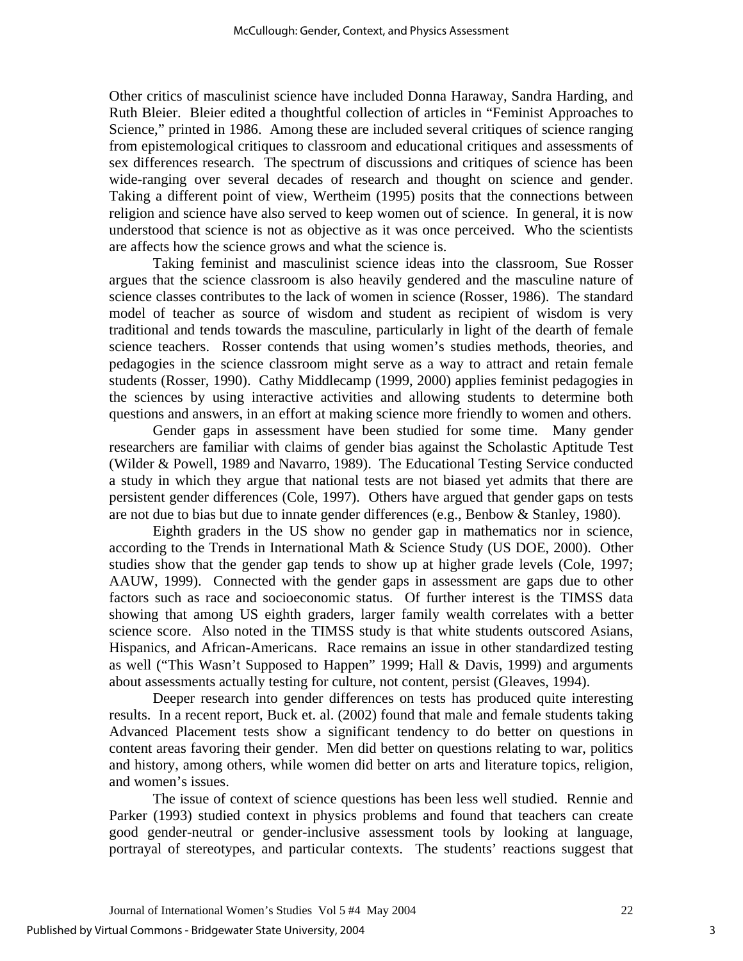Other critics of masculinist science have included Donna Haraway, Sandra Harding, and Ruth Bleier. Bleier edited a thoughtful collection of articles in "Feminist Approaches to Science," printed in 1986. Among these are included several critiques of science ranging from epistemological critiques to classroom and educational critiques and assessments of sex differences research. The spectrum of discussions and critiques of science has been wide-ranging over several decades of research and thought on science and gender. Taking a different point of view, Wertheim (1995) posits that the connections between religion and science have also served to keep women out of science. In general, it is now understood that science is not as objective as it was once perceived. Who the scientists are affects how the science grows and what the science is.

Taking feminist and masculinist science ideas into the classroom, Sue Rosser argues that the science classroom is also heavily gendered and the masculine nature of science classes contributes to the lack of women in science (Rosser, 1986). The standard model of teacher as source of wisdom and student as recipient of wisdom is very traditional and tends towards the masculine, particularly in light of the dearth of female science teachers. Rosser contends that using women's studies methods, theories, and pedagogies in the science classroom might serve as a way to attract and retain female students (Rosser, 1990). Cathy Middlecamp (1999, 2000) applies feminist pedagogies in the sciences by using interactive activities and allowing students to determine both questions and answers, in an effort at making science more friendly to women and others.

Gender gaps in assessment have been studied for some time. Many gender researchers are familiar with claims of gender bias against the Scholastic Aptitude Test (Wilder & Powell, 1989 and Navarro, 1989). The Educational Testing Service conducted a study in which they argue that national tests are not biased yet admits that there are persistent gender differences (Cole, 1997). Others have argued that gender gaps on tests are not due to bias but due to innate gender differences (e.g., Benbow & Stanley, 1980).

Eighth graders in the US show no gender gap in mathematics nor in science, according to the Trends in International Math & Science Study (US DOE, 2000). Other studies show that the gender gap tends to show up at higher grade levels (Cole, 1997; AAUW, 1999). Connected with the gender gaps in assessment are gaps due to other factors such as race and socioeconomic status. Of further interest is the TIMSS data showing that among US eighth graders, larger family wealth correlates with a better science score. Also noted in the TIMSS study is that white students outscored Asians, Hispanics, and African-Americans. Race remains an issue in other standardized testing as well ("This Wasn't Supposed to Happen" 1999; Hall & Davis, 1999) and arguments about assessments actually testing for culture, not content, persist (Gleaves, 1994).

Deeper research into gender differences on tests has produced quite interesting results. In a recent report, Buck et. al. (2002) found that male and female students taking Advanced Placement tests show a significant tendency to do better on questions in content areas favoring their gender. Men did better on questions relating to war, politics and history, among others, while women did better on arts and literature topics, religion, and women's issues.

The issue of context of science questions has been less well studied. Rennie and Parker (1993) studied context in physics problems and found that teachers can create good gender-neutral or gender-inclusive assessment tools by looking at language, portrayal of stereotypes, and particular contexts. The students' reactions suggest that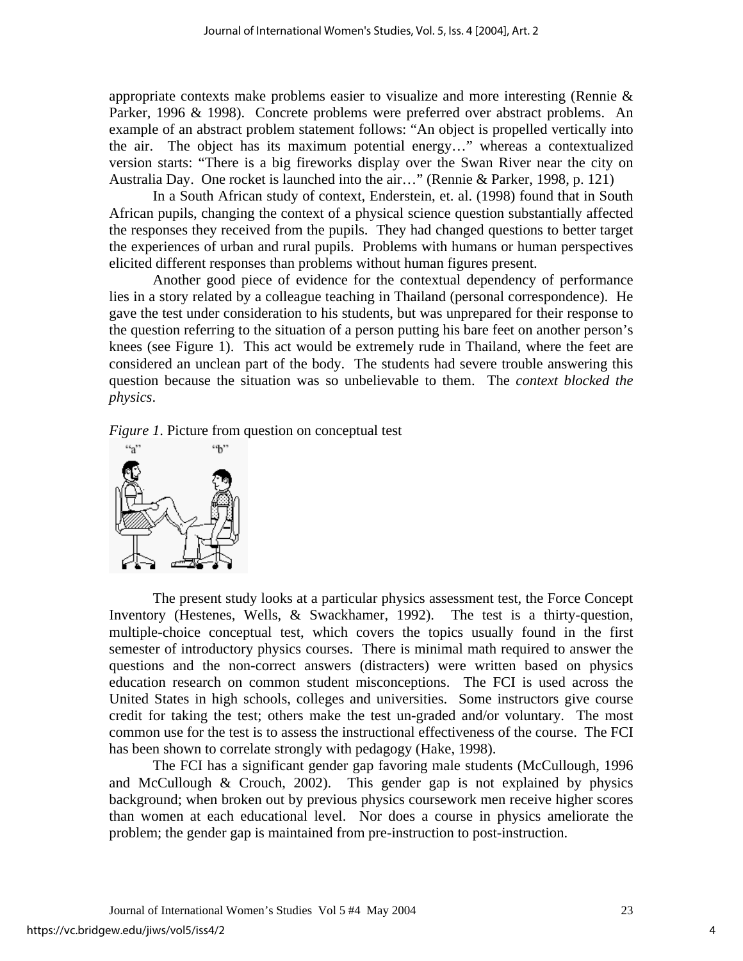appropriate contexts make problems easier to visualize and more interesting (Rennie & Parker, 1996 & 1998). Concrete problems were preferred over abstract problems. An example of an abstract problem statement follows: "An object is propelled vertically into the air. The object has its maximum potential energy…" whereas a contextualized version starts: "There is a big fireworks display over the Swan River near the city on Australia Day. One rocket is launched into the air…" (Rennie & Parker, 1998, p. 121)

In a South African study of context, Enderstein, et. al. (1998) found that in South African pupils, changing the context of a physical science question substantially affected the responses they received from the pupils. They had changed questions to better target the experiences of urban and rural pupils. Problems with humans or human perspectives elicited different responses than problems without human figures present.

Another good piece of evidence for the contextual dependency of performance lies in a story related by a colleague teaching in Thailand (personal correspondence). He gave the test under consideration to his students, but was unprepared for their response to the question referring to the situation of a person putting his bare feet on another person's knees (see Figure 1). This act would be extremely rude in Thailand, where the feet are considered an unclean part of the body. The students had severe trouble answering this question because the situation was so unbelievable to them. The *context blocked the physics*.

*Figure 1*. Picture from question on conceptual test



The present study looks at a particular physics assessment test, the Force Concept Inventory (Hestenes, Wells, & Swackhamer, 1992). The test is a thirty-question, multiple-choice conceptual test, which covers the topics usually found in the first semester of introductory physics courses. There is minimal math required to answer the questions and the non-correct answers (distracters) were written based on physics education research on common student misconceptions. The FCI is used across the United States in high schools, colleges and universities. Some instructors give course credit for taking the test; others make the test un-graded and/or voluntary. The most common use for the test is to assess the instructional effectiveness of the course. The FCI has been shown to correlate strongly with pedagogy (Hake, 1998).

The FCI has a significant gender gap favoring male students (McCullough, 1996 and McCullough & Crouch, 2002). This gender gap is not explained by physics background; when broken out by previous physics coursework men receive higher scores than women at each educational level. Nor does a course in physics ameliorate the problem; the gender gap is maintained from pre-instruction to post-instruction.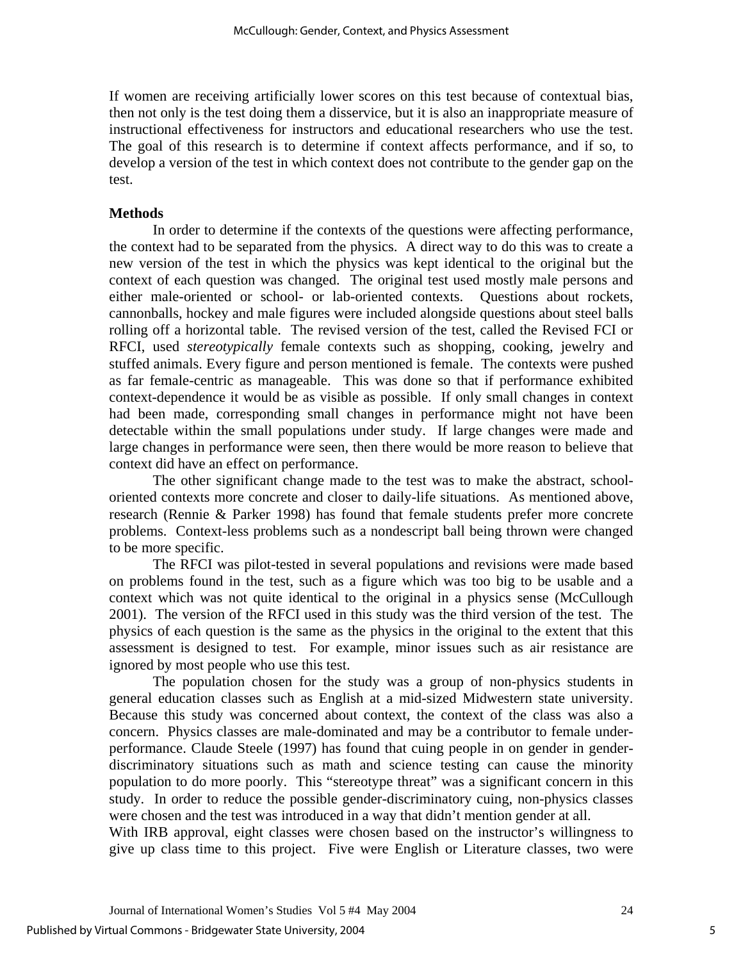If women are receiving artificially lower scores on this test because of contextual bias, then not only is the test doing them a disservice, but it is also an inappropriate measure of instructional effectiveness for instructors and educational researchers who use the test. The goal of this research is to determine if context affects performance, and if so, to develop a version of the test in which context does not contribute to the gender gap on the test.

#### **Methods**

In order to determine if the contexts of the questions were affecting performance, the context had to be separated from the physics. A direct way to do this was to create a new version of the test in which the physics was kept identical to the original but the context of each question was changed. The original test used mostly male persons and either male-oriented or school- or lab-oriented contexts. Questions about rockets, cannonballs, hockey and male figures were included alongside questions about steel balls rolling off a horizontal table. The revised version of the test, called the Revised FCI or RFCI, used *stereotypically* female contexts such as shopping, cooking, jewelry and stuffed animals. Every figure and person mentioned is female. The contexts were pushed as far female-centric as manageable. This was done so that if performance exhibited context-dependence it would be as visible as possible. If only small changes in context had been made, corresponding small changes in performance might not have been detectable within the small populations under study. If large changes were made and large changes in performance were seen, then there would be more reason to believe that context did have an effect on performance.

The other significant change made to the test was to make the abstract, schooloriented contexts more concrete and closer to daily-life situations. As mentioned above, research (Rennie & Parker 1998) has found that female students prefer more concrete problems. Context-less problems such as a nondescript ball being thrown were changed to be more specific.

The RFCI was pilot-tested in several populations and revisions were made based on problems found in the test, such as a figure which was too big to be usable and a context which was not quite identical to the original in a physics sense (McCullough 2001). The version of the RFCI used in this study was the third version of the test. The physics of each question is the same as the physics in the original to the extent that this assessment is designed to test. For example, minor issues such as air resistance are ignored by most people who use this test.

The population chosen for the study was a group of non-physics students in general education classes such as English at a mid-sized Midwestern state university. Because this study was concerned about context, the context of the class was also a concern. Physics classes are male-dominated and may be a contributor to female underperformance. Claude Steele (1997) has found that cuing people in on gender in genderdiscriminatory situations such as math and science testing can cause the minority population to do more poorly. This "stereotype threat" was a significant concern in this study. In order to reduce the possible gender-discriminatory cuing, non-physics classes were chosen and the test was introduced in a way that didn't mention gender at all.

With IRB approval, eight classes were chosen based on the instructor's willingness to give up class time to this project. Five were English or Literature classes, two were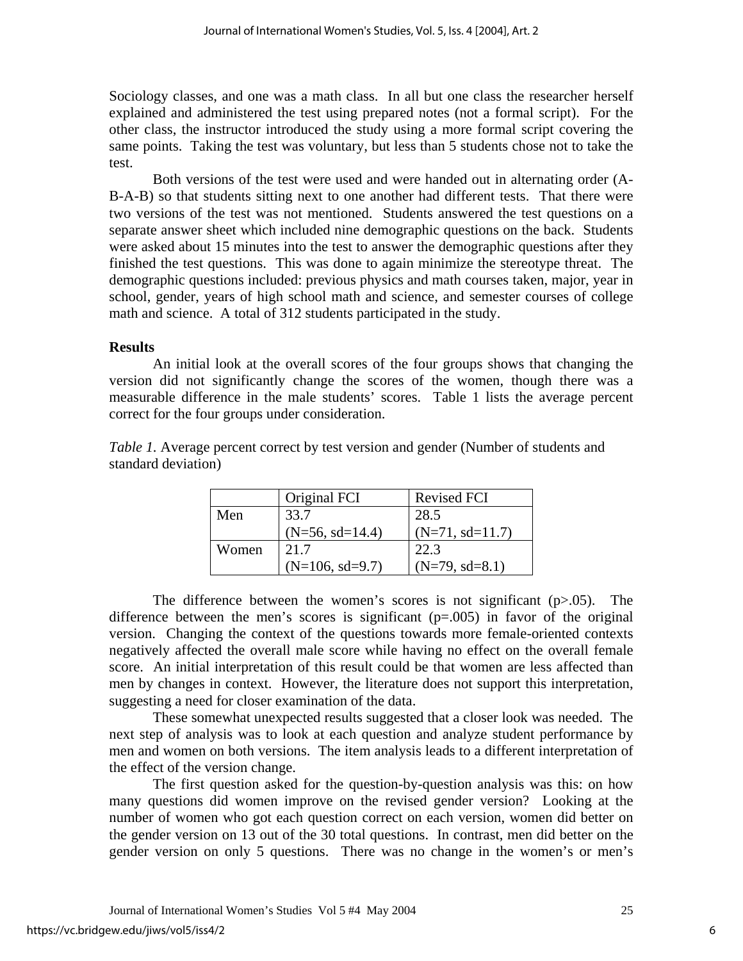Sociology classes, and one was a math class. In all but one class the researcher herself explained and administered the test using prepared notes (not a formal script). For the other class, the instructor introduced the study using a more formal script covering the same points. Taking the test was voluntary, but less than 5 students chose not to take the test.

Both versions of the test were used and were handed out in alternating order (A-B-A-B) so that students sitting next to one another had different tests. That there were two versions of the test was not mentioned. Students answered the test questions on a separate answer sheet which included nine demographic questions on the back. Students were asked about 15 minutes into the test to answer the demographic questions after they finished the test questions. This was done to again minimize the stereotype threat. The demographic questions included: previous physics and math courses taken, major, year in school, gender, years of high school math and science, and semester courses of college math and science. A total of 312 students participated in the study.

## **Results**

An initial look at the overall scores of the four groups shows that changing the version did not significantly change the scores of the women, though there was a measurable difference in the male students' scores. Table 1 lists the average percent correct for the four groups under consideration.

*Table 1.* Average percent correct by test version and gender (Number of students and standard deviation)

|       | Original FCI      | <b>Revised FCI</b> |
|-------|-------------------|--------------------|
| Men   | 33.7              | 28.5               |
|       | $(N=56, sd=14.4)$ | $(N=71, sd=11.7)$  |
| Women | 21.7              | 22.3               |
|       | $(N=106, sd=9.7)$ | $(N=79, sd=8.1)$   |

The difference between the women's scores is not significant  $(p>0.05)$ . The difference between the men's scores is significant  $(p=.005)$  in favor of the original version. Changing the context of the questions towards more female-oriented contexts negatively affected the overall male score while having no effect on the overall female score. An initial interpretation of this result could be that women are less affected than men by changes in context. However, the literature does not support this interpretation, suggesting a need for closer examination of the data.

These somewhat unexpected results suggested that a closer look was needed. The next step of analysis was to look at each question and analyze student performance by men and women on both versions. The item analysis leads to a different interpretation of the effect of the version change.

The first question asked for the question-by-question analysis was this: on how many questions did women improve on the revised gender version? Looking at the number of women who got each question correct on each version, women did better on the gender version on 13 out of the 30 total questions. In contrast, men did better on the gender version on only 5 questions. There was no change in the women's or men's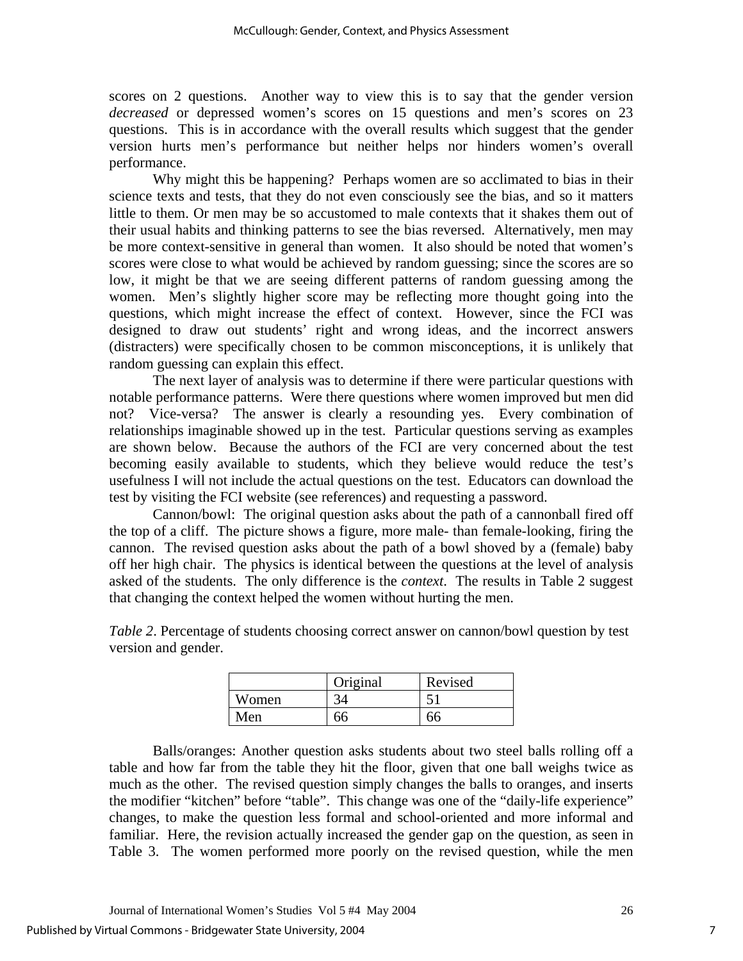scores on 2 questions. Another way to view this is to say that the gender version *decreased* or depressed women's scores on 15 questions and men's scores on 23 questions. This is in accordance with the overall results which suggest that the gender version hurts men's performance but neither helps nor hinders women's overall performance.

Why might this be happening? Perhaps women are so acclimated to bias in their science texts and tests, that they do not even consciously see the bias, and so it matters little to them. Or men may be so accustomed to male contexts that it shakes them out of their usual habits and thinking patterns to see the bias reversed. Alternatively, men may be more context-sensitive in general than women. It also should be noted that women's scores were close to what would be achieved by random guessing; since the scores are so low, it might be that we are seeing different patterns of random guessing among the women. Men's slightly higher score may be reflecting more thought going into the questions, which might increase the effect of context. However, since the FCI was designed to draw out students' right and wrong ideas, and the incorrect answers (distracters) were specifically chosen to be common misconceptions, it is unlikely that random guessing can explain this effect.

The next layer of analysis was to determine if there were particular questions with notable performance patterns. Were there questions where women improved but men did not? Vice-versa? The answer is clearly a resounding yes. Every combination of relationships imaginable showed up in the test. Particular questions serving as examples are shown below. Because the authors of the FCI are very concerned about the test becoming easily available to students, which they believe would reduce the test's usefulness I will not include the actual questions on the test. Educators can download the test by visiting the FCI website (see references) and requesting a password.

Cannon/bowl: The original question asks about the path of a cannonball fired off the top of a cliff. The picture shows a figure, more male- than female-looking, firing the cannon. The revised question asks about the path of a bowl shoved by a (female) baby off her high chair. The physics is identical between the questions at the level of analysis asked of the students. The only difference is the *context*. The results in Table 2 suggest that changing the context helped the women without hurting the men.

*Table 2*. Percentage of students choosing correct answer on cannon/bowl question by test version and gender.

|       | Original | Revised |
|-------|----------|---------|
| Women |          |         |
| Men   |          |         |

Balls/oranges: Another question asks students about two steel balls rolling off a table and how far from the table they hit the floor, given that one ball weighs twice as much as the other. The revised question simply changes the balls to oranges, and inserts the modifier "kitchen" before "table". This change was one of the "daily-life experience" changes, to make the question less formal and school-oriented and more informal and familiar. Here, the revision actually increased the gender gap on the question, as seen in Table 3. The women performed more poorly on the revised question, while the men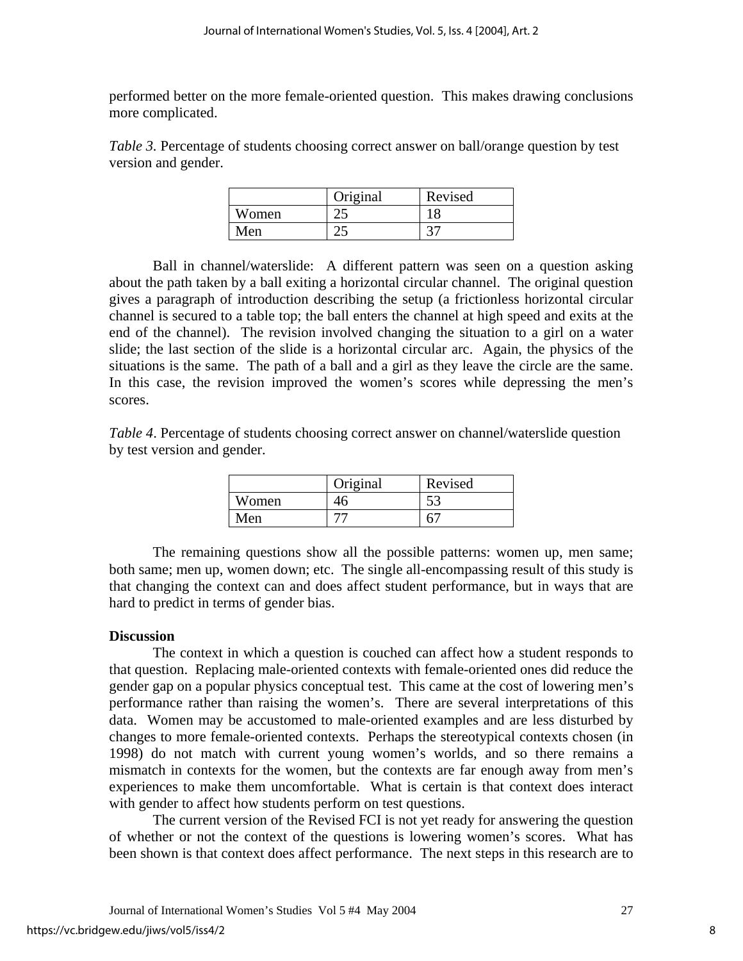performed better on the more female-oriented question. This makes drawing conclusions more complicated.

*Table 3.* Percentage of students choosing correct answer on ball/orange question by test version and gender.

|       | Original | Revised |
|-------|----------|---------|
| Women | ∠.       |         |
| Men   |          |         |

Ball in channel/waterslide: A different pattern was seen on a question asking about the path taken by a ball exiting a horizontal circular channel. The original question gives a paragraph of introduction describing the setup (a frictionless horizontal circular channel is secured to a table top; the ball enters the channel at high speed and exits at the end of the channel). The revision involved changing the situation to a girl on a water slide; the last section of the slide is a horizontal circular arc. Again, the physics of the situations is the same. The path of a ball and a girl as they leave the circle are the same. In this case, the revision improved the women's scores while depressing the men's scores.

*Table 4*. Percentage of students choosing correct answer on channel/waterslide question by test version and gender.

|       | Original | Revised |
|-------|----------|---------|
| Women | .r       | E C     |
| Men   |          |         |

The remaining questions show all the possible patterns: women up, men same; both same; men up, women down; etc. The single all-encompassing result of this study is that changing the context can and does affect student performance, but in ways that are hard to predict in terms of gender bias.

## **Discussion**

The context in which a question is couched can affect how a student responds to that question. Replacing male-oriented contexts with female-oriented ones did reduce the gender gap on a popular physics conceptual test. This came at the cost of lowering men's performance rather than raising the women's. There are several interpretations of this data. Women may be accustomed to male-oriented examples and are less disturbed by changes to more female-oriented contexts. Perhaps the stereotypical contexts chosen (in 1998) do not match with current young women's worlds, and so there remains a mismatch in contexts for the women, but the contexts are far enough away from men's experiences to make them uncomfortable. What is certain is that context does interact with gender to affect how students perform on test questions.

The current version of the Revised FCI is not yet ready for answering the question of whether or not the context of the questions is lowering women's scores. What has been shown is that context does affect performance. The next steps in this research are to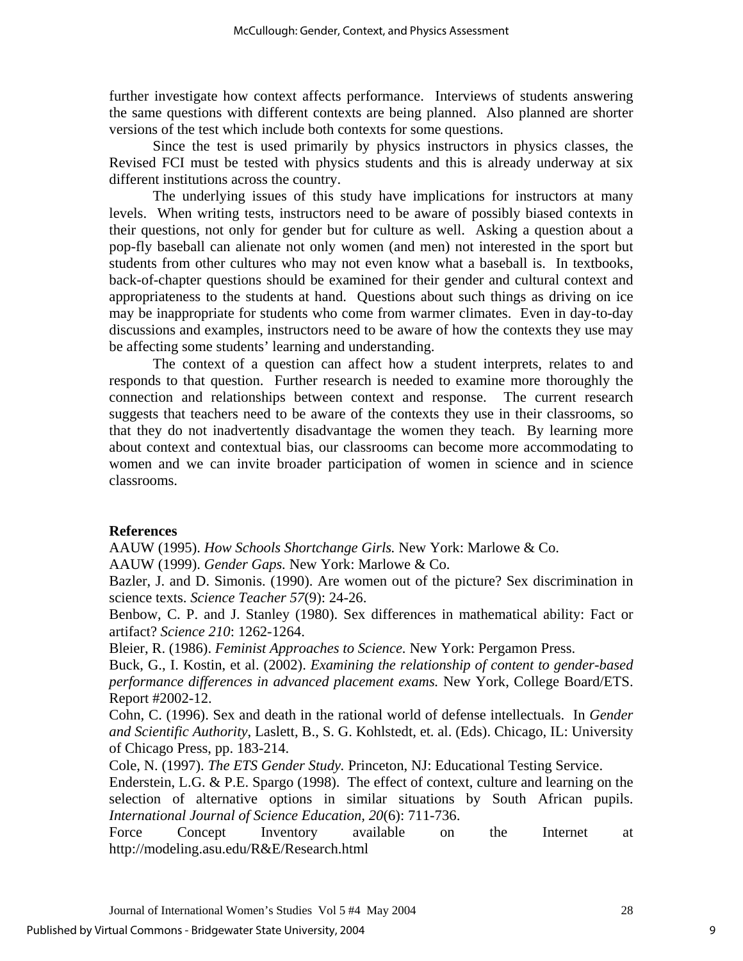further investigate how context affects performance. Interviews of students answering the same questions with different contexts are being planned. Also planned are shorter versions of the test which include both contexts for some questions.

Since the test is used primarily by physics instructors in physics classes, the Revised FCI must be tested with physics students and this is already underway at six different institutions across the country.

The underlying issues of this study have implications for instructors at many levels. When writing tests, instructors need to be aware of possibly biased contexts in their questions, not only for gender but for culture as well. Asking a question about a pop-fly baseball can alienate not only women (and men) not interested in the sport but students from other cultures who may not even know what a baseball is. In textbooks, back-of-chapter questions should be examined for their gender and cultural context and appropriateness to the students at hand. Questions about such things as driving on ice may be inappropriate for students who come from warmer climates. Even in day-to-day discussions and examples, instructors need to be aware of how the contexts they use may be affecting some students' learning and understanding.

The context of a question can affect how a student interprets, relates to and responds to that question. Further research is needed to examine more thoroughly the connection and relationships between context and response. The current research suggests that teachers need to be aware of the contexts they use in their classrooms, so that they do not inadvertently disadvantage the women they teach. By learning more about context and contextual bias, our classrooms can become more accommodating to women and we can invite broader participation of women in science and in science classrooms.

## **References**

AAUW (1995). *How Schools Shortchange Girls.* New York: Marlowe & Co.

AAUW (1999). *Gender Gaps.* New York: Marlowe & Co.

Bazler, J. and D. Simonis. (1990). Are women out of the picture? Sex discrimination in science texts. *Science Teacher 57*(9): 24-26.

Benbow, C. P. and J. Stanley (1980). Sex differences in mathematical ability: Fact or artifact? *Science 210*: 1262-1264.

Bleier, R. (1986). *Feminist Approaches to Science.* New York: Pergamon Press.

Buck, G., I. Kostin, et al. (2002). *Examining the relationship of content to gender-based performance differences in advanced placement exams.* New York, College Board/ETS. Report #2002-12.

Cohn, C. (1996). Sex and death in the rational world of defense intellectuals. In *Gender and Scientific Authority*, Laslett, B., S. G. Kohlstedt, et. al. (Eds). Chicago, IL: University of Chicago Press, pp. 183-214.

Cole, N. (1997). *The ETS Gender Study.* Princeton, NJ: Educational Testing Service.

Enderstein, L.G. & P.E. Spargo (1998). The effect of context, culture and learning on the selection of alternative options in similar situations by South African pupils. *International Journal of Science Education, 20*(6): 711-736.

Force Concept Inventory available on the Internet at http://modeling.asu.edu/R&E/Research.html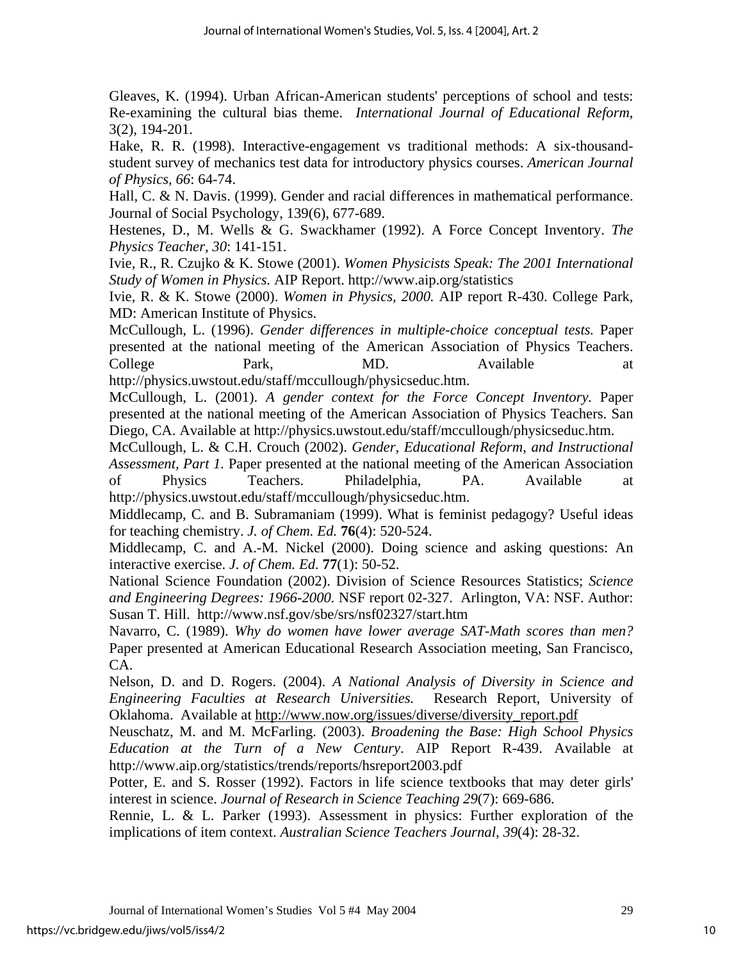Gleaves, K. (1994). Urban African-American students' perceptions of school and tests: Re-examining the cultural bias theme. *International Journal of Educational Reform*, 3(2), 194-201.

Hake, R. R. (1998). Interactive-engagement vs traditional methods: A six-thousandstudent survey of mechanics test data for introductory physics courses. *American Journal of Physics, 66*: 64-74.

Hall, C. & N. Davis. (1999). Gender and racial differences in mathematical performance. Journal of Social Psychology, 139(6), 677-689.

Hestenes, D., M. Wells & G. Swackhamer (1992). A Force Concept Inventory. *The Physics Teacher, 30*: 141-151.

Ivie, R., R. Czujko & K. Stowe (2001). *Women Physicists Speak: The 2001 International Study of Women in Physics.* AIP Report. http://www.aip.org/statistics

Ivie, R. & K. Stowe (2000). *Women in Physics, 2000.* AIP report R-430. College Park, MD: American Institute of Physics.

McCullough, L. (1996). *Gender differences in multiple-choice conceptual tests.* Paper presented at the national meeting of the American Association of Physics Teachers. College Park, MD. Available at http://physics.uwstout.edu/staff/mccullough/physicseduc.htm.

McCullough, L. (2001). *A gender context for the Force Concept Inventory.* Paper presented at the national meeting of the American Association of Physics Teachers. San Diego, CA. Available at http://physics.uwstout.edu/staff/mccullough/physicseduc.htm.

McCullough, L. & C.H. Crouch (2002). *Gender, Educational Reform, and Instructional Assessment, Part 1.* Paper presented at the national meeting of the American Association of Physics Teachers. Philadelphia, PA. Available at http://physics.uwstout.edu/staff/mccullough/physicseduc.htm.

Middlecamp, C. and B. Subramaniam (1999). What is feminist pedagogy? Useful ideas for teaching chemistry. *J. of Chem. Ed.* **76**(4): 520-524.

Middlecamp, C. and A.-M. Nickel (2000). Doing science and asking questions: An interactive exercise. *J. of Chem. Ed.* **77**(1): 50-52.

National Science Foundation (2002). Division of Science Resources Statistics; *Science and Engineering Degrees: 1966-2000.* NSF report 02-327. Arlington, VA: NSF. Author: Susan T. Hill. http://www.nsf.gov/sbe/srs/nsf02327/start.htm

Navarro, C. (1989). *Why do women have lower average SAT-Math scores than men?* Paper presented at American Educational Research Association meeting, San Francisco, CA.

Nelson, D. and D. Rogers. (2004). *A National Analysis of Diversity in Science and Engineering Faculties at Research Universities.* Research Report, University of Oklahoma. Available at [http://www.now.org/issues/diverse/diversity\\_report.pdf](http://www.now.org/issues/diverse/diversity_report.pdf)

Neuschatz, M. and M. McFarling. (2003). *Broadening the Base: High School Physics Education at the Turn of a New Century*. AIP Report R-439. Available at http://www.aip.org/statistics/trends/reports/hsreport2003.pdf

Potter, E. and S. Rosser (1992). Factors in life science textbooks that may deter girls' interest in science. *Journal of Research in Science Teaching 29*(7): 669-686.

Rennie, L. & L. Parker (1993). Assessment in physics: Further exploration of the implications of item context. *Australian Science Teachers Journal, 39*(4): 28-32.